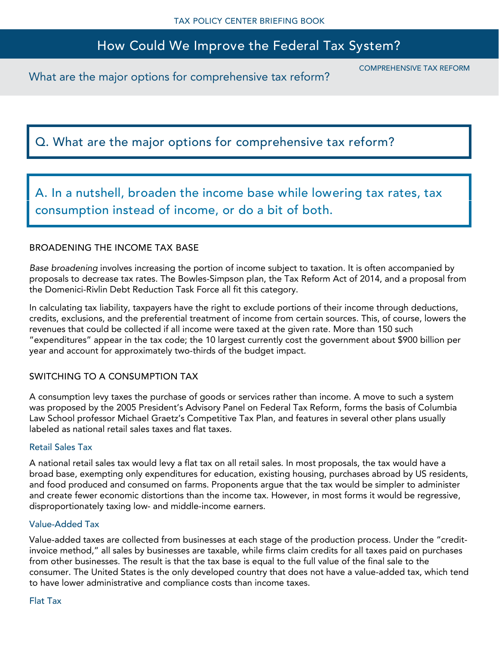# How Could We Improve the Federal Tax System?

What are the major options for comprehensive tax reform?

COMPREHENSIVE TAX REFORM

## Q. What are the major options for comprehensive tax reform?

A. In a nutshell, broaden the income base while lowering tax rates, tax consumption instead of income, or do a bit of both.

#### BROADENING THE INCOME TAX BASE

*Base broadening* involves increasing the portion of income subject to taxation. It is often accompanied by proposals to decrease tax rates. The Bowles-Simpson plan, the Tax Reform Act of 2014, and a proposal from the Domenici-Rivlin Debt Reduction Task Force all fit this category.

In calculating tax liability, taxpayers have the right to exclude portions of their income through deductions, credits, exclusions, and the preferential treatment of income from certain sources. This, of course, lowers the revenues that could be collected if all income were taxed at the given rate. More than 150 such "expenditures" appear in the tax code; the 10 largest currently cost the government about \$900 billion per year and account for approximately two-thirds of the budget impact.

### SWITCHING TO A CONSUMPTION TAX

A consumption levy taxes the purchase of goods or services rather than income. A move to such a system was proposed by the 2005 President's Advisory Panel on Federal Tax Reform, forms the basis of Columbia Law School professor Michael Graetz's Competitive Tax Plan, and features in several other plans usually labeled as national retail sales taxes and flat taxes.

#### Retail Sales Tax

A national retail sales tax would levy a flat tax on all retail sales. In most proposals, the tax would have a broad base, exempting only expenditures for education, existing housing, purchases abroad by US residents, and food produced and consumed on farms. Proponents argue that the tax would be simpler to administer and create fewer economic distortions than the income tax. However, in most forms it would be regressive, disproportionately taxing low- and middle-income earners.

#### Value-Added Tax

Value-added taxes are collected from businesses at each stage of the production process. Under the "creditinvoice method," all sales by businesses are taxable, while firms claim credits for all taxes paid on purchases from other businesses. The result is that the tax base is equal to the full value of the final sale to the consumer. The United States is the only developed country that does not have a value-added tax, which tend to have lower administrative and compliance costs than income taxes.

#### Flat Tax